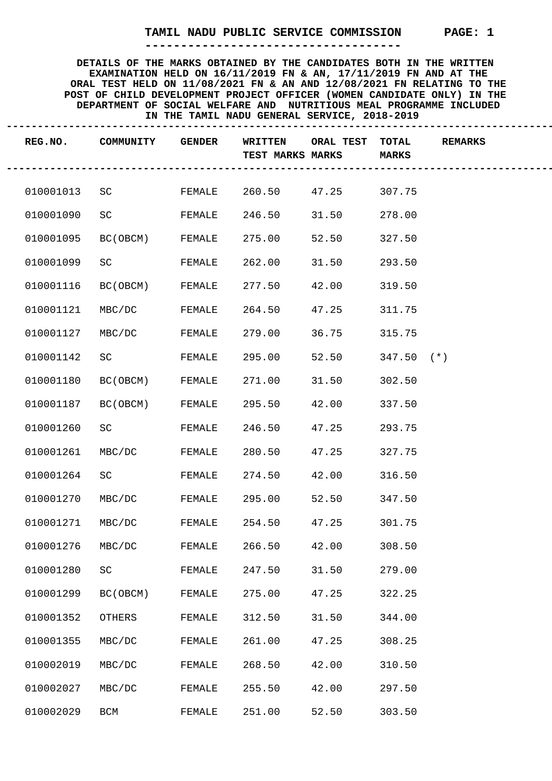**------------------------------------**

| REG.NO.   | COMMUNITY | <b>GENDER</b> | WRITTEN<br><b>TEST MARKS MARKS</b> | ORAL TEST TOTAL | <b>MARKS</b> | <b>REMARKS</b> |
|-----------|-----------|---------------|------------------------------------|-----------------|--------------|----------------|
| 010001013 | SC        | FEMALE        | 260.50                             | 47.25           | 307.75       |                |
| 010001090 | SC        | FEMALE        | 246.50                             | 31.50           | 278.00       |                |
| 010001095 | BC (OBCM) | FEMALE        | 275.00                             | 52.50           | 327.50       |                |
| 010001099 | SC        | FEMALE        | 262.00                             | 31.50           | 293.50       |                |
| 010001116 | BC (OBCM) | FEMALE        | 277.50                             | 42.00           | 319.50       |                |
| 010001121 | MBC/DC    | FEMALE        | 264.50                             | 47.25           | 311.75       |                |
| 010001127 | MBC/DC    | FEMALE        | 279.00                             | 36.75           | 315.75       |                |
| 010001142 | SCIENCE   | FEMALE        | 295.00                             | 52.50           | $347.50$ (*) |                |
| 010001180 | BC (OBCM) | FEMALE        | 271.00                             | 31.50           | 302.50       |                |
| 010001187 | BC (OBCM) | FEMALE        | 295.50                             | 42.00           | 337.50       |                |
| 010001260 | SCIENCIES | FEMALE        | 246.50                             | 47.25           | 293.75       |                |
| 010001261 | MBC/DC    | FEMALE        | 280.50                             | 47.25           | 327.75       |                |
| 010001264 | SC        | FEMALE        | 274.50                             | 42.00           | 316.50       |                |
| 010001270 | MBC/DC    | FEMALE        | 295.00                             | 52.50           | 347.50       |                |
| 010001271 | MBC/DC    | FEMALE        | 254.50                             | 47.25           | 301.75       |                |
| 010001276 | MBC/DC    | FEMALE        | 266.50                             | 42.00           | 308.50       |                |
| 010001280 | SC        | FEMALE        | 247.50                             | 31.50           | 279.00       |                |
| 010001299 | BC (OBCM) | FEMALE        | 275.00                             | 47.25           | 322.25       |                |
| 010001352 | OTHERS    | FEMALE        | 312.50                             | 31.50           | 344.00       |                |
| 010001355 | MBC/DC    | FEMALE        | 261.00                             | 47.25           | 308.25       |                |
| 010002019 | MBC/DC    | FEMALE        | 268.50                             | 42.00           | 310.50       |                |
| 010002027 | MBC/DC    | FEMALE        | 255.50                             | 42.00           | 297.50       |                |
| 010002029 | BCM       | FEMALE        | 251.00                             | 52.50           | 303.50       |                |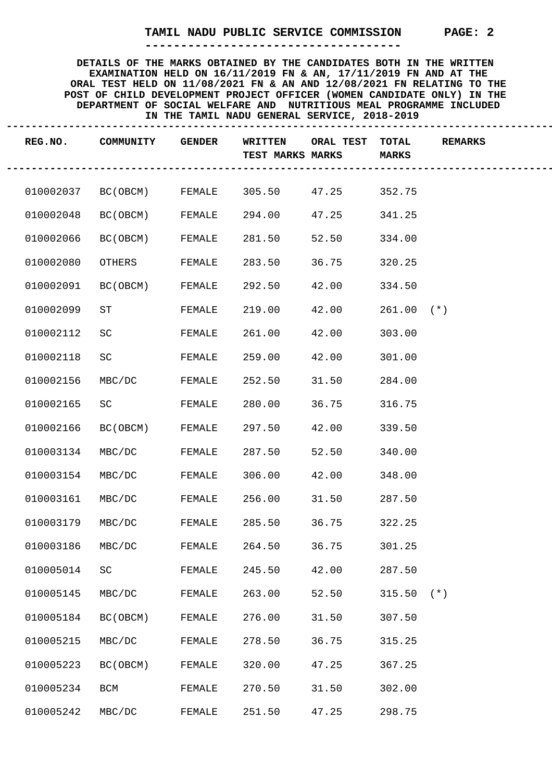**------------------------------------**

| REG.NO.   | COMMUNITY                 | <b>GENDER</b> | WRITTEN<br>TEST MARKS MARKS | ORAL TEST TOTAL | <b>MARKS</b> | <b>REMARKS</b> |
|-----------|---------------------------|---------------|-----------------------------|-----------------|--------------|----------------|
|           | 010002037 BC(OBCM) FEMALE |               | 305.50                      | 47.25           | 352.75       |                |
| 010002048 | BC (OBCM)                 | FEMALE        | 294.00                      | 47.25           | 341.25       |                |
| 010002066 | BC(OBCM)                  | FEMALE        | 281.50                      | 52.50           | 334.00       |                |
| 010002080 | OTHERS                    | FEMALE        | 283.50                      | 36.75           | 320.25       |                |
| 010002091 | BC(OBCM)                  | FEMALE        | 292.50                      | 42.00           | 334.50       |                |
| 010002099 | ST                        | FEMALE        | 219.00                      | 42.00           | $261.00$ (*) |                |
| 010002112 | SC                        | FEMALE        | 261.00                      | 42.00           | 303.00       |                |
| 010002118 | SC                        | FEMALE        | 259.00                      | 42.00           | 301.00       |                |
| 010002156 | MBC/DC                    | FEMALE        | 252.50                      | 31.50           | 284.00       |                |
| 010002165 | SC                        | FEMALE        | 280.00                      | 36.75           | 316.75       |                |
| 010002166 | BC(OBCM)                  | FEMALE        | 297.50                      | 42.00           | 339.50       |                |
| 010003134 | MBC/DC                    | FEMALE        | 287.50                      | 52.50           | 340.00       |                |
| 010003154 | MBC/DC                    | FEMALE        | 306.00                      | 42.00           | 348.00       |                |
| 010003161 | MBC/DC                    | FEMALE        | 256.00                      | 31.50           | 287.50       |                |
| 010003179 | MBC/DC                    | FEMALE        | 285.50                      | 36.75           | 322.25       |                |
| 010003186 | MBC/DC                    | FEMALE        | 264.50                      | 36.75           | 301.25       |                |
| 010005014 | SC                        | FEMALE        | 245.50                      | 42.00           | 287.50       |                |
| 010005145 | MBC/DC                    | FEMALE        | 263.00                      | 52.50           | $315.50$ (*) |                |
| 010005184 | BC (OBCM)                 | FEMALE        | 276.00                      | 31.50           | 307.50       |                |
| 010005215 | MBC/DC                    | FEMALE        | 278.50                      | 36.75           | 315.25       |                |
| 010005223 | BC (OBCM)                 | FEMALE        | 320.00                      | 47.25           | 367.25       |                |
| 010005234 | BCM                       | FEMALE        | 270.50                      | 31.50           | 302.00       |                |
| 010005242 | MBC/DC                    | FEMALE        | 251.50                      | 47.25           | 298.75       |                |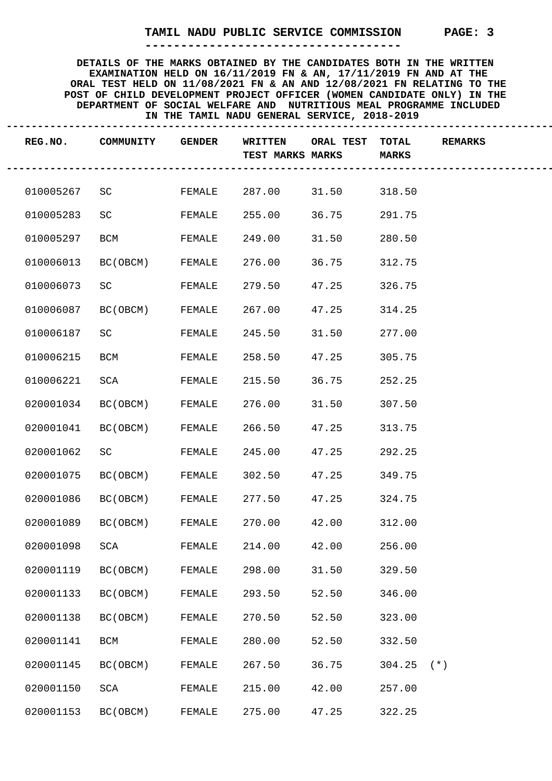**------------------------------------**

| REG.NO.   | COMMUNITY | <b>GENDER</b> | WRITTEN<br>TEST MARKS MARKS | ORAL TEST TOTAL | <b>MARKS</b> | <b>REMARKS</b> |
|-----------|-----------|---------------|-----------------------------|-----------------|--------------|----------------|
| 010005267 | SC        | FEMALE        | 287.00                      | 31.50           | 318.50       |                |
| 010005283 | SC        | FEMALE        | 255.00                      | 36.75           | 291.75       |                |
| 010005297 | BCM       | FEMALE        | 249.00                      | 31.50           | 280.50       |                |
| 010006013 | BC (OBCM) | FEMALE        | 276.00                      | 36.75           | 312.75       |                |
| 010006073 | SC        | FEMALE        | 279.50                      | 47.25           | 326.75       |                |
| 010006087 | BC (OBCM) | FEMALE        | 267.00                      | 47.25           | 314.25       |                |
| 010006187 | SC        | FEMALE        | 245.50                      | 31.50           | 277.00       |                |
| 010006215 | BCM       | FEMALE        | 258.50                      | 47.25           | 305.75       |                |
| 010006221 | SCA       | FEMALE        | 215.50                      | 36.75           | 252.25       |                |
| 020001034 | BC (OBCM) | FEMALE        | 276.00                      | 31.50           | 307.50       |                |
| 020001041 | BC (OBCM) | FEMALE        | 266.50                      | 47.25           | 313.75       |                |
| 020001062 | SC        | FEMALE        | 245.00                      | 47.25           | 292.25       |                |
| 020001075 | BC(OBCM)  | FEMALE        | 302.50                      | 47.25           | 349.75       |                |
| 020001086 | BC(OBCM)  | FEMALE        | 277.50                      | 47.25           | 324.75       |                |
| 020001089 | BC (OBCM) | FEMALE        | 270.00                      | 42.00           | 312.00       |                |
| 020001098 | SCA       | FEMALE        | 214.00                      | 42.00 256.00    |              |                |
| 020001119 | BC (OBCM) | FEMALE        | 298.00                      | 31.50           | 329.50       |                |
| 020001133 | BC (OBCM) | FEMALE        | 293.50                      | 52.50           | 346.00       |                |
| 020001138 | BC (OBCM) | FEMALE        | 270.50                      | 52.50           | 323.00       |                |
| 020001141 | BCM       | FEMALE        | 280.00                      | 52.50           | 332.50       |                |
| 020001145 | BC (OBCM) | FEMALE        | 267.50                      | 36.75           | $304.25$ (*) |                |
| 020001150 | SCA       | FEMALE        | 215.00                      | 42.00           | 257.00       |                |
| 020001153 | BC (OBCM) | FEMALE        | 275.00                      | 47.25           | 322.25       |                |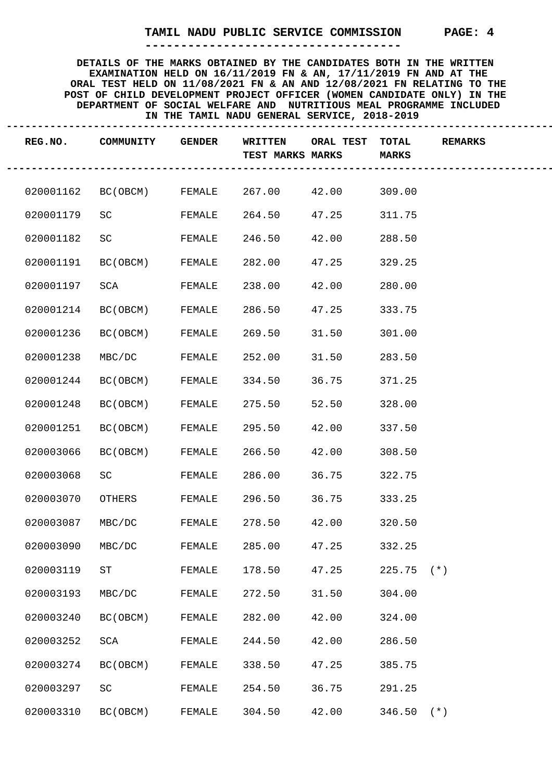**------------------------------------**

| REG.NO.   | COMMUNITY                                     | <b>GENDER</b> | WRITTEN<br><b>TEST MARKS MARKS</b> | ORAL TEST TOTAL | <b>MARKS</b> | <b>REMARKS</b> |
|-----------|-----------------------------------------------|---------------|------------------------------------|-----------------|--------------|----------------|
|           | 020001162 BC(OBCM) FEMALE 267.00 42.00 309.00 |               |                                    |                 |              |                |
| 020001179 | SC                                            | FEMALE        | 264.50                             | 47.25           | 311.75       |                |
| 020001182 | SC                                            | FEMALE        | 246.50                             | 42.00           | 288.50       |                |
| 020001191 | BC (OBCM)                                     | FEMALE        | 282.00                             | 47.25           | 329.25       |                |
| 020001197 | SCA                                           | FEMALE        | 238.00                             | 42.00           | 280.00       |                |
| 020001214 | BC(OBCM)                                      | FEMALE        | 286.50                             | 47.25           | 333.75       |                |
| 020001236 | BC (OBCM)                                     | FEMALE        | 269.50                             | 31.50           | 301.00       |                |
| 020001238 | MBC/DC                                        | FEMALE        | 252.00                             | 31.50           | 283.50       |                |
| 020001244 | BC (OBCM)                                     | FEMALE        | 334.50                             | 36.75           | 371.25       |                |
| 020001248 | BC(OBCM)                                      | FEMALE        | 275.50                             | 52.50           | 328.00       |                |
| 020001251 | BC(OBCM)                                      | FEMALE        | 295.50                             | 42.00           | 337.50       |                |
| 020003066 | BC (OBCM)                                     | FEMALE        | 266.50                             | 42.00           | 308.50       |                |
| 020003068 | SC                                            | FEMALE        | 286.00                             | 36.75           | 322.75       |                |
| 020003070 | OTHERS                                        | FEMALE        | 296.50                             | 36.75           | 333.25       |                |
| 020003087 | MBC/DC                                        | FEMALE        | 278.50                             | 42.00           | 320.50       |                |
| 020003090 | MBC/DC                                        | FEMALE        | 285.00                             | 47.25           | 332.25       |                |
| 020003119 | ST                                            | FEMALE        | 178.50                             | 47.25           | $225.75$ (*) |                |
| 020003193 | MBC/DC                                        | FEMALE        | 272.50                             | 31.50           | 304.00       |                |
| 020003240 | BC (OBCM)                                     | FEMALE        | 282.00                             | 42.00           | 324.00       |                |
| 020003252 | SCA                                           | FEMALE        | 244.50                             | 42.00           | 286.50       |                |
| 020003274 | BC (OBCM)                                     | FEMALE        | 338.50                             | 47.25           | 385.75       |                |
| 020003297 | SC                                            | FEMALE        | 254.50                             | 36.75           | 291.25       |                |
| 020003310 | BC (OBCM)                                     | FEMALE        | 304.50                             | 42.00           | $346.50$ (*) |                |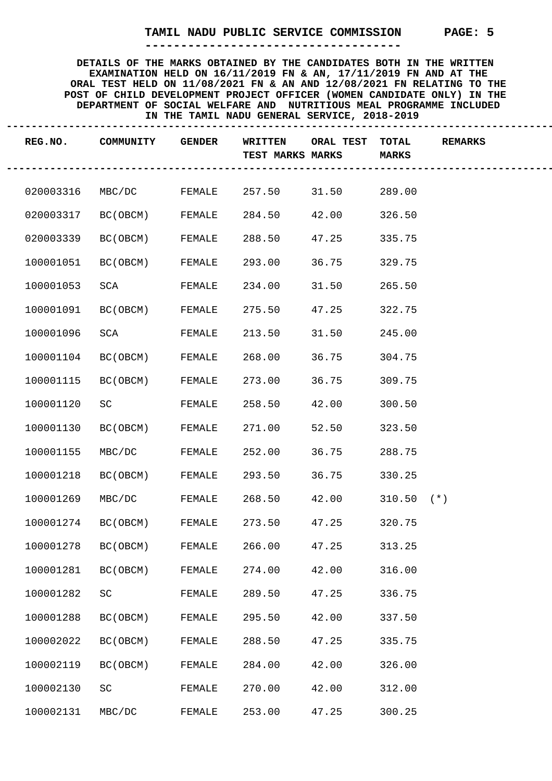**------------------------------------**

| REG.NO.   | COMMUNITY       | <b>GENDER</b> | WRITTEN<br><b>TEST MARKS MARKS</b> | ORAL TEST TOTAL<br>-------- | <b>MARKS</b> | <b>REMARKS</b> |
|-----------|-----------------|---------------|------------------------------------|-----------------------------|--------------|----------------|
| 020003316 | MBC/DC FEMALE   |               | 257.50                             | 31.50 289.00                |              |                |
| 020003317 | BC(OBCM) FEMALE |               | 284.50                             | 42.00                       | 326.50       |                |
| 020003339 | BC(OBCM)        | FEMALE        | 288.50                             | 47.25                       | 335.75       |                |
| 100001051 | BC (OBCM)       | FEMALE        | 293.00                             | 36.75                       | 329.75       |                |
| 100001053 | SCA             | FEMALE        | 234.00                             | 31.50                       | 265.50       |                |
| 100001091 | BC(OBCM) FEMALE |               | 275.50                             | 47.25                       | 322.75       |                |
| 100001096 | SCA             | FEMALE        | 213.50                             | 31.50                       | 245.00       |                |
| 100001104 | BC (OBCM)       | FEMALE        | 268.00                             | 36.75                       | 304.75       |                |
| 100001115 | BC (OBCM)       | FEMALE        | 273.00                             | 36.75                       | 309.75       |                |
| 100001120 | SC              | FEMALE        | 258.50                             | 42.00                       | 300.50       |                |
| 100001130 | BC (OBCM)       | FEMALE        | 271.00                             | 52.50                       | 323.50       |                |
| 100001155 | MBC/DC          | FEMALE        | 252.00                             | 36.75                       | 288.75       |                |
| 100001218 | BC (OBCM)       | FEMALE        | 293.50                             | 36.75                       | 330.25       |                |
| 100001269 | MBC/DC          | FEMALE        | 268.50                             | 42.00                       | $310.50$ (*) |                |
| 100001274 | BC(OBCM)        | FEMALE        | 273.50                             | 47.25                       | 320.75       |                |
| 100001278 | BC (OBCM)       | FEMALE        | 266.00                             | 47.25                       | 313.25       |                |
| 100001281 | BC (OBCM)       | FEMALE        | 274.00                             | 42.00                       | 316.00       |                |
| 100001282 | SC              | FEMALE        | 289.50                             | 47.25                       | 336.75       |                |
| 100001288 | BC (OBCM)       | FEMALE        | 295.50                             | 42.00                       | 337.50       |                |
| 100002022 | BC (OBCM)       | FEMALE        | 288.50                             | 47.25                       | 335.75       |                |
| 100002119 | BC (OBCM)       | FEMALE        | 284.00                             | 42.00                       | 326.00       |                |
| 100002130 | SC              | FEMALE        | 270.00                             | 42.00                       | 312.00       |                |
| 100002131 | MBC/DC          | FEMALE        | 253.00                             | 47.25                       | 300.25       |                |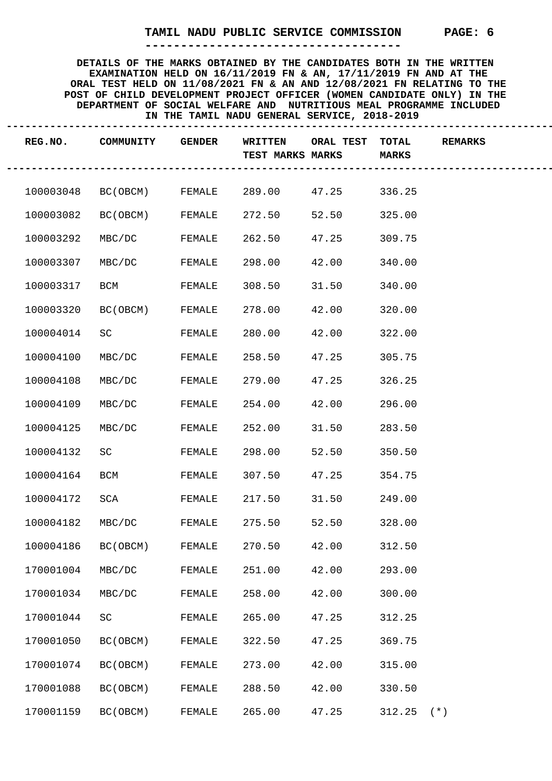**------------------------------------**

| REG.NO.   | COMMUNITY                 | <b>GENDER</b> | WRITTEN<br>TEST MARKS MARKS | ORAL TEST | <b>TOTAL</b><br><b>MARKS</b> | <b>REMARKS</b> |
|-----------|---------------------------|---------------|-----------------------------|-----------|------------------------------|----------------|
|           | 100003048 BC(OBCM) FEMALE |               | 289.00                      | 47.25     | 336.25                       |                |
| 100003082 | BC (OBCM)                 | FEMALE        | 272.50                      | 52.50     | 325.00                       |                |
| 100003292 | MBC/DC                    | FEMALE        | 262.50                      | 47.25     | 309.75                       |                |
| 100003307 | MBC/DC                    | FEMALE        | 298.00                      | 42.00     | 340.00                       |                |
| 100003317 | BCM                       | FEMALE        | 308.50                      | 31.50     | 340.00                       |                |
| 100003320 | BC (OBCM)                 | FEMALE        | 278.00                      | 42.00     | 320.00                       |                |
| 100004014 | SCIENCE                   | FEMALE        | 280.00                      | 42.00     | 322.00                       |                |
| 100004100 | MBC/DC                    | FEMALE        | 258.50                      | 47.25     | 305.75                       |                |
| 100004108 | MBC/DC                    | FEMALE        | 279.00                      | 47.25     | 326.25                       |                |
| 100004109 | MBC/DC                    | FEMALE        | 254.00                      | 42.00     | 296.00                       |                |
| 100004125 | MBC/DC                    | FEMALE        | 252.00                      | 31.50     | 283.50                       |                |
| 100004132 | SC                        | FEMALE        | 298.00                      | 52.50     | 350.50                       |                |
| 100004164 | BCM                       | FEMALE        | 307.50                      | 47.25     | 354.75                       |                |
| 100004172 | SCA                       | FEMALE        | 217.50                      | 31.50     | 249.00                       |                |
| 100004182 | MBC/DC                    | FEMALE        | 275.50                      | 52.50     | 328.00                       |                |
| 100004186 | BC (OBCM)                 | FEMALE        | 270.50                      | 42.00     | 312.50                       |                |
| 170001004 | MBC/DC                    | FEMALE        | 251.00                      | 42.00     | 293.00                       |                |
| 170001034 | MBC/DC                    | FEMALE        | 258.00                      | 42.00     | 300.00                       |                |
| 170001044 | SC                        | FEMALE        | 265.00                      | 47.25     | 312.25                       |                |
| 170001050 | BC (OBCM)                 | FEMALE        | 322.50                      | 47.25     | 369.75                       |                |
| 170001074 | BC (OBCM)                 | FEMALE        | 273.00                      | 42.00     | 315.00                       |                |
| 170001088 | BC (OBCM)                 | FEMALE        | 288.50                      | 42.00     | 330.50                       |                |
| 170001159 | BC (OBCM)                 | FEMALE        | 265.00                      | 47.25     | $312.25$ (*)                 |                |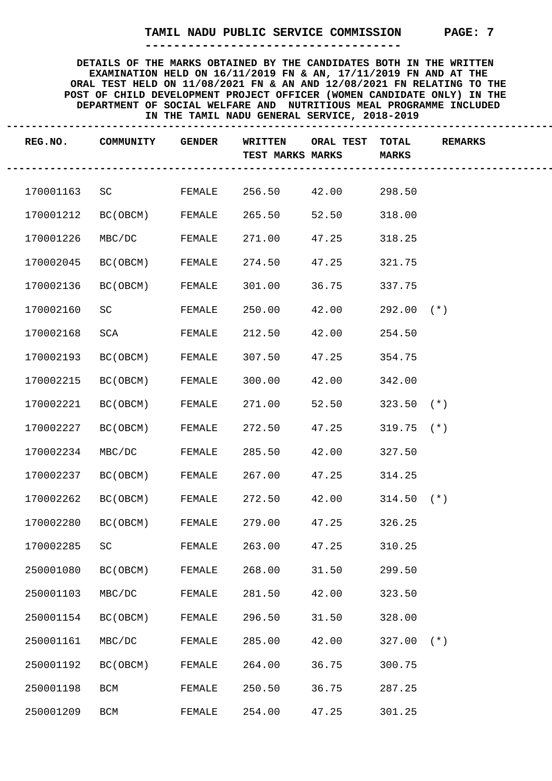**------------------------------------**

|           | REG.NO. COMMUNITY | <b>GENDER</b> | WRITTEN<br><b>TEST MARKS MARKS</b> | ORAL TEST TOTAL<br>--------- | <b>MARKS</b> | <b>REMARKS</b> |
|-----------|-------------------|---------------|------------------------------------|------------------------------|--------------|----------------|
| 170001163 | SCIENCE           |               | FEMALE 256.50 42.00 298.50         |                              |              |                |
| 170001212 | BC(OBCM) FEMALE   |               | 265.50                             | 52.50                        | 318.00       |                |
| 170001226 | MBC/DC            | FEMALE        | 271.00                             | 47.25                        | 318.25       |                |
| 170002045 | BC (OBCM)         | FEMALE        | 274.50                             | 47.25                        | 321.75       |                |
| 170002136 | BC(OBCM)          | FEMALE        | 301.00                             | 36.75                        | 337.75       |                |
| 170002160 | SC                | FEMALE        | 250.00                             | 42.00                        | $292.00$ (*) |                |
| 170002168 | SCA               | FEMALE        | 212.50                             | 42.00                        | 254.50       |                |
| 170002193 | BC (OBCM)         | FEMALE        | 307.50                             | 47.25                        | 354.75       |                |
| 170002215 | BC (OBCM)         | FEMALE        | 300.00                             | 42.00                        | 342.00       |                |
| 170002221 | BC (OBCM)         | FEMALE        | 271.00                             | 52.50                        | $323.50$ (*) |                |
| 170002227 | BC(OBCM)          | FEMALE        | 272.50                             | 47.25                        | $319.75$ (*) |                |
| 170002234 | MBC/DC            | FEMALE        | 285.50                             | 42.00                        | 327.50       |                |
| 170002237 | BC(OBCM)          | FEMALE        | 267.00                             | 47.25                        | 314.25       |                |
| 170002262 | BC (OBCM)         | FEMALE        | 272.50                             | 42.00                        | $314.50$ (*) |                |
| 170002280 | BC (OBCM)         | FEMALE        | 279.00                             | 47.25                        | 326.25       |                |
| 170002285 | SC                | FEMALE        | 263.00                             | 47.25                        | 310.25       |                |
| 250001080 | BC (OBCM)         | FEMALE        | 268.00                             | 31.50                        | 299.50       |                |
| 250001103 | MBC/DC            | FEMALE        | 281.50                             | 42.00                        | 323.50       |                |
| 250001154 | BC (OBCM)         | FEMALE        | 296.50                             | 31.50                        | 328.00       |                |
| 250001161 | MBC/DC            | FEMALE        | 285.00                             | 42.00                        | $327.00$ (*) |                |
| 250001192 | BC (OBCM)         | FEMALE        | 264.00                             | 36.75                        | 300.75       |                |
| 250001198 | BCM               | FEMALE        | 250.50                             | 36.75                        | 287.25       |                |
| 250001209 | BCM               | FEMALE        | 254.00                             | 47.25                        | 301.25       |                |